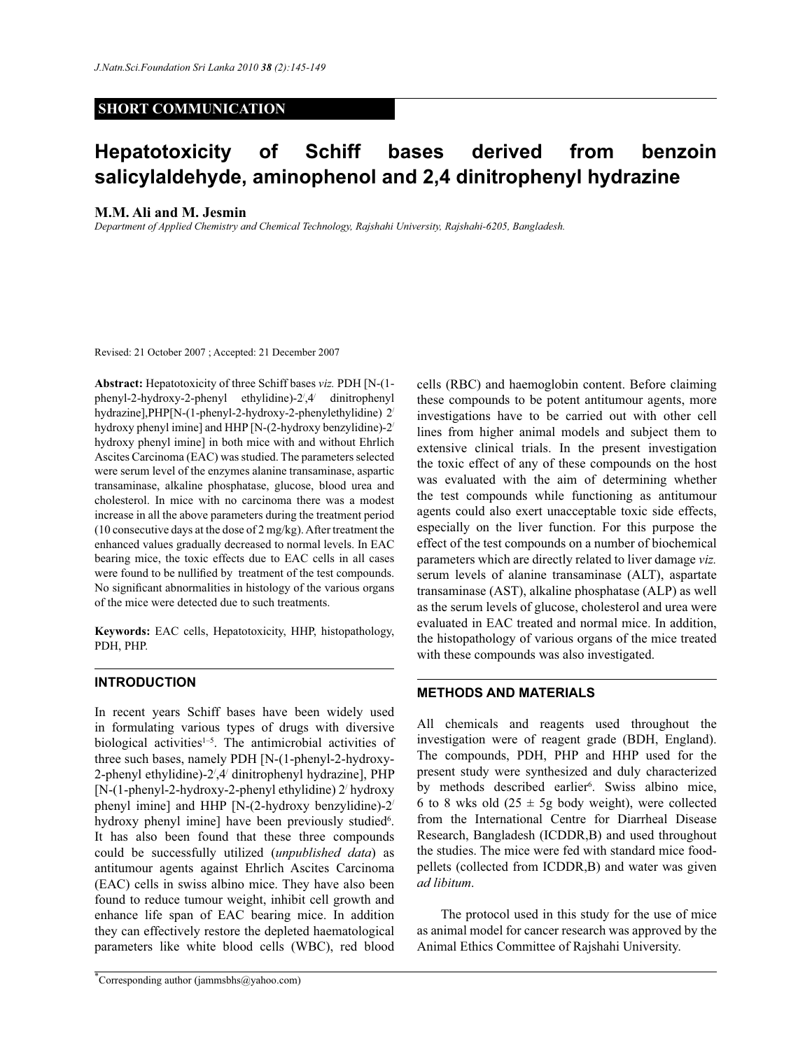# **SHORT COMMUNICATION**

# **Hepatotoxicity of Schiff bases derived from benzoin salicylaldehyde, aminophenol and 2,4 dinitrophenyl hydrazine**

### **M.M. Ali and M. Jesmin**

*Department of Applied Chemistry and Chemical Technology, Rajshahi University, Rajshahi-6205, Bangladesh.* 

Revised: 21 October 2007 ; Accepted: 21 December 2007

**Abstract:** Hepatotoxicity of three Schiff bases *viz.* PDH [N-(1 phenyl-2-hydroxy-2-phenyl ethylidine)-2/ ,4/ dinitrophenyl hydrazine],PHP[N-(1-phenyl-2-hydroxy-2-phenylethylidine) 2/ hydroxy phenyl imine] and HHP [N-(2-hydroxy benzylidine)-2/ hydroxy phenyl imine] in both mice with and without Ehrlich Ascites Carcinoma (EAC) was studied. The parameters selected were serum level of the enzymes alanine transaminase, aspartic transaminase, alkaline phosphatase, glucose, blood urea and cholesterol. In mice with no carcinoma there was a modest increase in all the above parameters during the treatment period (10 consecutive days at the dose of 2 mg/kg). After treatment the enhanced values gradually decreased to normal levels. In EAC bearing mice, the toxic effects due to EAC cells in all cases were found to be nullified by treatment of the test compounds. No significant abnormalities in histology of the various organs of the mice were detected due to such treatments.

**Keywords:** EAC cells, Hepatotoxicity, HHP, histopathology, PDH, PHP.

## **INTRODUCTION**

In recent years Schiff bases have been widely used in formulating various types of drugs with diversive biological activities $1-5$ . The antimicrobial activities of three such bases, namely PDH [N-(1-phenyl-2-hydroxy-2-phenyl ethylidine)-2',4' dinitrophenyl hydrazine], PHP [N-(1-phenyl-2-hydroxy-2-phenyl ethylidine) 2/ hydroxy phenyl imine] and HHP [N-(2-hydroxy benzylidine)-2/ hydroxy phenyl imine] have been previously studied<sup>6</sup>. It has also been found that these three compounds could be successfully utilized (*unpublished data*) as antitumour agents against Ehrlich Ascites Carcinoma (EAC) cells in swiss albino mice. They have also been found to reduce tumour weight, inhibit cell growth and enhance life span of EAC bearing mice. In addition they can effectively restore the depleted haematological parameters like white blood cells (WBC), red blood

\*Corresponding author (jammsbhs@yahoo.com)

cells (RBC) and haemoglobin content. Before claiming these compounds to be potent antitumour agents, more investigations have to be carried out with other cell lines from higher animal models and subject them to extensive clinical trials. In the present investigation the toxic effect of any of these compounds on the host was evaluated with the aim of determining whether the test compounds while functioning as antitumour agents could also exert unacceptable toxic side effects, especially on the liver function. For this purpose the effect of the test compounds on a number of biochemical parameters which are directly related to liver damage *viz.* serum levels of alanine transaminase (ALT), aspartate transaminase (AST), alkaline phosphatase (ALP) as well as the serum levels of glucose, cholesterol and urea were evaluated in EAC treated and normal mice. In addition, the histopathology of various organs of the mice treated with these compounds was also investigated.

# **METHODS AND MATERIALS**

All chemicals and reagents used throughout the investigation were of reagent grade (BDH, England). The compounds, PDH, PHP and HHP used for the present study were synthesized and duly characterized by methods described earlier<sup>6</sup>. Swiss albino mice, 6 to 8 wks old  $(25 \pm 5)$  body weight), were collected from the International Centre for Diarrheal Disease Research, Bangladesh (ICDDR,B) and used throughout the studies. The mice were fed with standard mice foodpellets (collected from ICDDR,B) and water was given *ad libitum*.

 The protocol used in this study for the use of mice as animal model for cancer research was approved by the Animal Ethics Committee of Rajshahi University.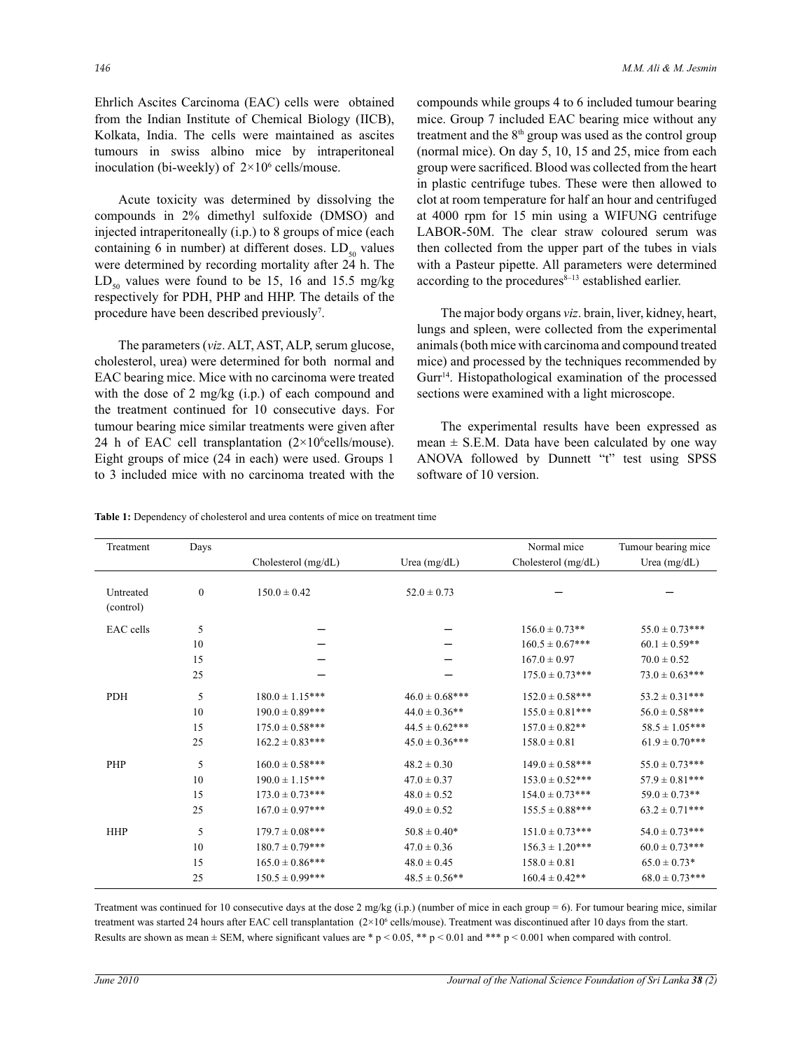Ehrlich Ascites Carcinoma (EAC) cells were obtained from the Indian Institute of Chemical Biology (IICB), Kolkata, India. The cells were maintained as ascites tumours in swiss albino mice by intraperitoneal inoculation (bi-weekly) of  $2 \times 10^6$  cells/mouse.

 Acute toxicity was determined by dissolving the compounds in 2% dimethyl sulfoxide (DMSO) and injected intraperitoneally (i.p.) to 8 groups of mice (each containing 6 in number) at different doses.  $LD_{so}$  values were determined by recording mortality after 24 h. The  $LD_{50}$  values were found to be 15, 16 and 15.5 mg/kg respectively for PDH, PHP and HHP. The details of the procedure have been described previously<sup>7</sup>.

The parameters (*viz*. ALT, AST, ALP, serum glucose, cholesterol, urea) were determined for both normal and EAC bearing mice. Mice with no carcinoma were treated with the dose of 2 mg/kg (i.p.) of each compound and the treatment continued for 10 consecutive days. For tumour bearing mice similar treatments were given after 24 h of EAC cell transplantation  $(2 \times 10^{6}$ cells/mouse). Eight groups of mice (24 in each) were used. Groups 1 to 3 included mice with no carcinoma treated with the

compounds while groups 4 to 6 included tumour bearing mice. Group 7 included EAC bearing mice without any treatment and the  $8<sup>th</sup>$  group was used as the control group (normal mice). On day 5, 10, 15 and 25, mice from each group were sacrificed. Blood was collected from the heart in plastic centrifuge tubes. These were then allowed to clot at room temperature for half an hour and centrifuged at 4000 rpm for 15 min using a WIFUNG centrifuge LABOR-50M. The clear straw coloured serum was then collected from the upper part of the tubes in vials with a Pasteur pipette. All parameters were determined according to the procedures $8-13$  established earlier.

 The major body organs *viz*. brain, liver, kidney, heart, lungs and spleen, were collected from the experimental animals (both mice with carcinoma and compound treated mice) and processed by the techniques recommended by Gurr<sup>14</sup>. Histopathological examination of the processed sections were examined with a light microscope.

The experimental results have been expressed as mean  $\pm$  S.E.M. Data have been calculated by one way ANOVA followed by Dunnett "t" test using SPSS software of 10 version.

| <b>Table 1:</b> Dependency of cholesterol and urea contents of mice on treatment time |  |
|---------------------------------------------------------------------------------------|--|
|---------------------------------------------------------------------------------------|--|

| Treatment              | Days             | Cholesterol $(mg/dL)$ | Urea $(mg/dL)$      | Normal mice<br>Cholesterol (mg/dL) | Tumour bearing mice<br>Urea $(mg/dL)$ |
|------------------------|------------------|-----------------------|---------------------|------------------------------------|---------------------------------------|
| Untreated<br>(control) | $\boldsymbol{0}$ | $150.0 \pm 0.42$      | $52.0 \pm 0.73$     |                                    |                                       |
| EAC cells              | 5                |                       |                     | $156.0 \pm 0.73**$                 | $55.0 \pm 0.73***$                    |
|                        | 10               |                       |                     | $160.5 \pm 0.67***$                | $60.1 \pm 0.59$ **                    |
|                        | 15               |                       |                     | $167.0 \pm 0.97$                   | $70.0 \pm 0.52$                       |
|                        | 25               |                       |                     | $175.0 \pm 0.73***$                | $73.0 \pm 0.63$ ***                   |
| <b>PDH</b>             | 5                | $180.0 \pm 1.15***$   | $46.0 \pm 0.68$ *** | $152.0 \pm 0.58***$                | $53.2 \pm 0.31***$                    |
|                        | 10               | $190.0 \pm 0.89***$   | $44.0 \pm 0.36$ **  | $155.0 \pm 0.81***$                | $56.0 \pm 0.58***$                    |
|                        | 15               | $175.0 \pm 0.58***$   | $44.5 \pm 0.62$ *** | $157.0 \pm 0.82**$                 | $58.5 \pm 1.05***$                    |
|                        | 25               | $162.2 \pm 0.83***$   | $45.0 \pm 0.36***$  | $158.0 \pm 0.81$                   | $61.9 \pm 0.70***$                    |
| PHP                    | 5                | $160.0 \pm 0.58***$   | $48.2 \pm 0.30$     | $149.0 \pm 0.58***$                | $55.0 \pm 0.73***$                    |
|                        | 10               | $190.0 \pm 1.15***$   | $47.0 \pm 0.37$     | $153.0 \pm 0.52***$                | $57.9 \pm 0.81***$                    |
|                        | 15               | $173.0 \pm 0.73***$   | $48.0 \pm 0.52$     | $154.0 \pm 0.73***$                | $59.0 \pm 0.73$ **                    |
|                        | 25               | $167.0 \pm 0.97***$   | $49.0 \pm 0.52$     | $155.5 \pm 0.88***$                | $63.2 \pm 0.71***$                    |
| <b>HHP</b>             | 5                | $179.7 \pm 0.08***$   | $50.8 \pm 0.40*$    | $151.0 \pm 0.73***$                | $54.0 \pm 0.73***$                    |
|                        | 10               | $180.7 \pm 0.79***$   | $47.0 \pm 0.36$     | $156.3 \pm 1.20***$                | $60.0 \pm 0.73***$                    |
|                        | 15               | $165.0 \pm 0.86***$   | $48.0 \pm 0.45$     | $158.0 \pm 0.81$                   | $65.0 \pm 0.73*$                      |
|                        | 25               | $150.5 \pm 0.99***$   | $48.5 \pm 0.56$ **  | $160.4 \pm 0.42**$                 | $68.0 \pm 0.73***$                    |

Treatment was continued for 10 consecutive days at the dose  $2 \text{ mg/kg (i.p.)}$  (number of mice in each group = 6). For tumour bearing mice, similar treatment was started 24 hours after EAC cell transplantation  $(2\times10^6 \text{ cells/mouse})$ . Treatment was discontinued after 10 days from the start. Results are shown as mean  $\pm$  SEM, where significant values are \* p < 0.05, \*\* p < 0.01 and \*\*\* p < 0.001 when compared with control.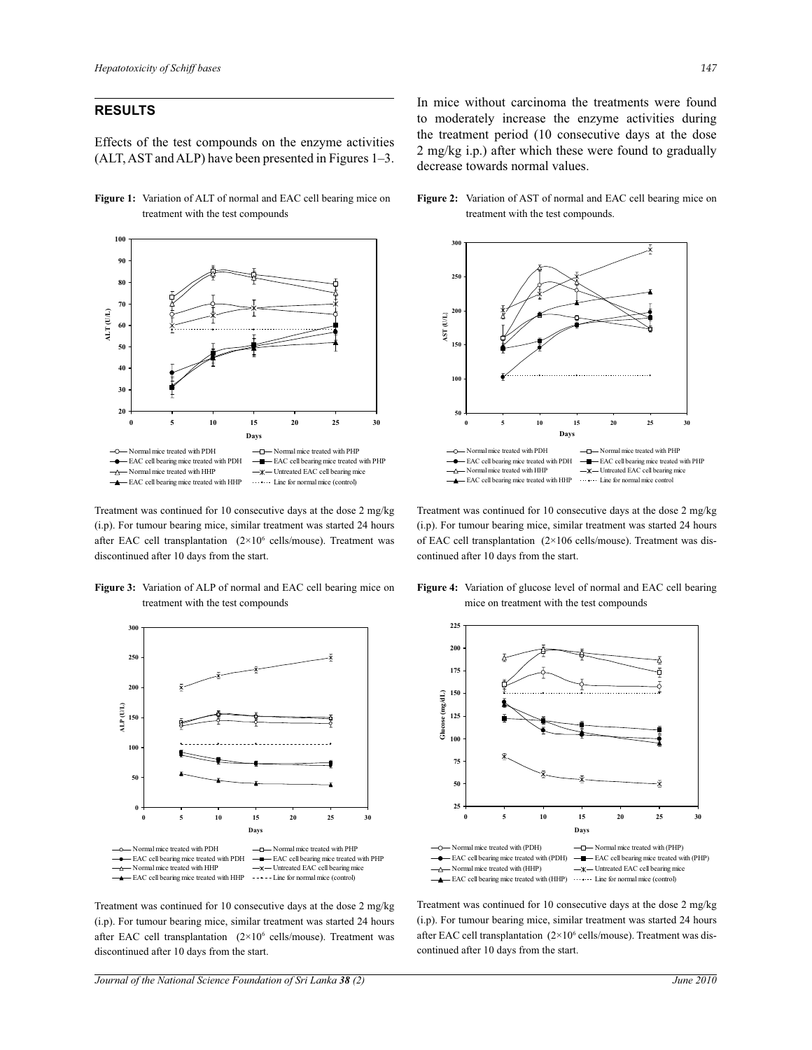# **RESULTS**

Effects of the test compounds on the enzyme activities (ALT, AST and ALP) have been presented in Figures 1–3.

**Figure 1:** Variation of ALT of normal and EAC cell bearing mice on treatment with the test compounds



Treatment was continued for 10 consecutive days at the dose 2 mg/kg (i.p). For tumour bearing mice, similar treatment was started 24 hours after EAC cell transplantation  $(2 \times 10^6 \text{ cells/mouse})$ . Treatment was discontinued after 10 days from the start.

**Figure 3:** Variation of ALP of normal and EAC cell bearing mice on treatment with the test compounds



Treatment was continued for 10 consecutive days at the dose 2 mg/kg (i.p). For tumour bearing mice, similar treatment was started 24 hours after EAC cell transplantation  $(2 \times 10^6 \text{ cells/mouse})$ . Treatment was discontinued after 10 days from the start.

*Journal of the National Science Foundation of Sri Lanka 38 (2) June 2010* 

In mice without carcinoma the treatments were found to moderately increase the enzyme activities during the treatment period (10 consecutive days at the dose 2 mg/kg i.p.) after which these were found to gradually decrease towards normal values.

**Figure 2:** Variation of AST of normal and EAC cell bearing mice on treatment with the test compounds.



Treatment was continued for 10 consecutive days at the dose 2 mg/kg (i.p). For tumour bearing mice, similar treatment was started 24 hours of EAC cell transplantation (2×106 cells/mouse). Treatment was discontinued after 10 days from the start.



**Figure 4:** Variation of glucose level of normal and EAC cell bearing mice on treatment with the test compounds

Treatment was continued for 10 consecutive days at the dose 2 mg/kg (i.p). For tumour bearing mice, similar treatment was started 24 hours after EAC cell transplantation (2×10<sup>6</sup> cells/mouse). Treatment was discontinued after 10 days from the start.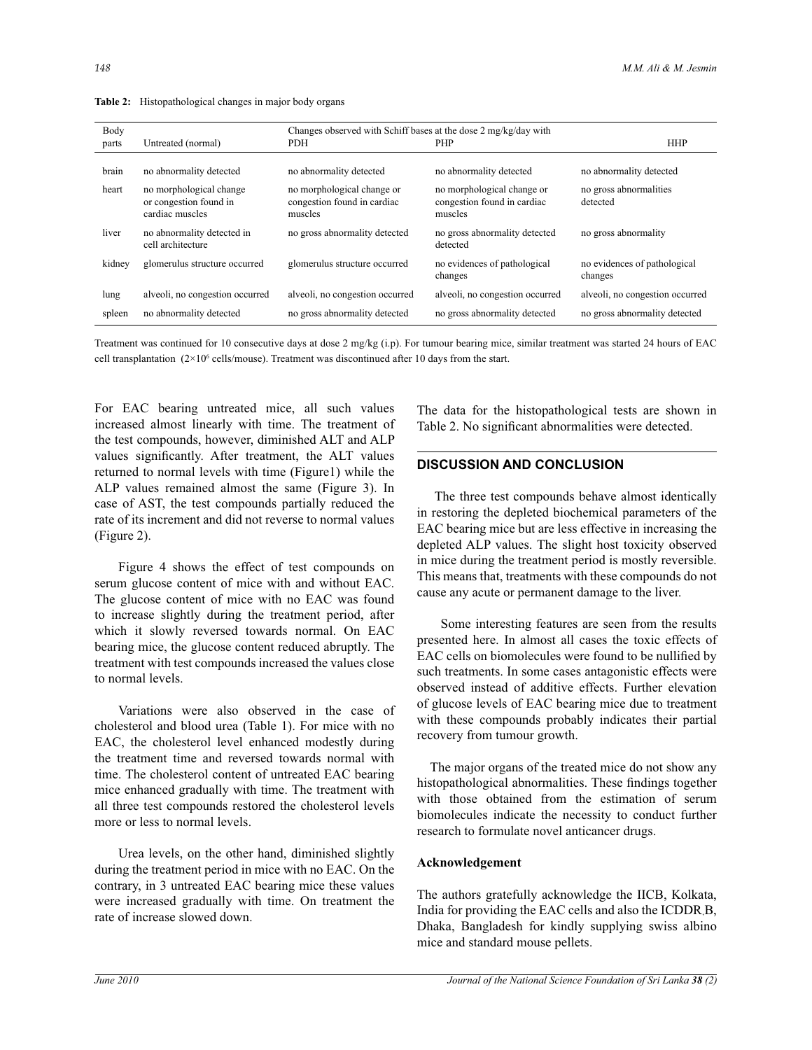| Body   |                                                                      | Changes observed with Schiff bases at the dose 2 mg/kg/day with      |                                                                      |                                         |  |
|--------|----------------------------------------------------------------------|----------------------------------------------------------------------|----------------------------------------------------------------------|-----------------------------------------|--|
| parts  | Untreated (normal)                                                   | PDH                                                                  | PHP                                                                  | <b>HHP</b>                              |  |
| brain  | no abnormality detected                                              | no abnormality detected                                              | no abnormality detected                                              | no abnormality detected                 |  |
| heart  | no morphological change<br>or congestion found in<br>cardiac muscles | no morphological change or<br>congestion found in cardiac<br>muscles | no morphological change or<br>congestion found in cardiac<br>muscles | no gross abnormalities<br>detected      |  |
| liver  | no abnormality detected in<br>cell architecture                      | no gross abnormality detected                                        | no gross abnormality detected<br>detected                            | no gross abnormality                    |  |
| kidney | glomerulus structure occurred                                        | glomerulus structure occurred                                        | no evidences of pathological<br>changes                              | no evidences of pathological<br>changes |  |
| lung   | alveoli, no congestion occurred                                      | alveoli, no congestion occurred                                      | alveoli, no congestion occurred                                      | alveoli, no congestion occurred         |  |
| spleen | no abnormality detected                                              | no gross abnormality detected                                        | no gross abnormality detected                                        | no gross abnormality detected           |  |

**Table 2:** Histopathological changes in major body organs

Treatment was continued for 10 consecutive days at dose 2 mg/kg (i.p). For tumour bearing mice, similar treatment was started 24 hours of EAC cell transplantation  $(2 \times 10^6 \text{ cells/mouse})$ . Treatment was discontinued after 10 days from the start.

For EAC bearing untreated mice, all such values increased almost linearly with time. The treatment of the test compounds, however, diminished ALT and ALP values significantly. After treatment, the ALT values returned to normal levels with time (Figure1) while the ALP values remained almost the same (Figure 3). In case of AST, the test compounds partially reduced the rate of its increment and did not reverse to normal values (Figure 2).

 Figure 4 shows the effect of test compounds on serum glucose content of mice with and without EAC. The glucose content of mice with no EAC was found to increase slightly during the treatment period, after which it slowly reversed towards normal. On EAC bearing mice, the glucose content reduced abruptly. The treatment with test compounds increased the values close to normal levels.

 Variations were also observed in the case of cholesterol and blood urea (Table 1). For mice with no EAC, the cholesterol level enhanced modestly during the treatment time and reversed towards normal with time. The cholesterol content of untreated EAC bearing mice enhanced gradually with time. The treatment with all three test compounds restored the cholesterol levels more or less to normal levels.

 Urea levels, on the other hand, diminished slightly during the treatment period in mice with no EAC. On the contrary, in 3 untreated EAC bearing mice these values were increased gradually with time. On treatment the rate of increase slowed down.

The data for the histopathological tests are shown in Table 2. No significant abnormalities were detected.

#### **DISCUSSION AND CONCLUSION**

 The three test compounds behave almost identically in restoring the depleted biochemical parameters of the EAC bearing mice but are less effective in increasing the depleted ALP values. The slight host toxicity observed in mice during the treatment period is mostly reversible. This means that, treatments with these compounds do not cause any acute or permanent damage to the liver.

 Some interesting features are seen from the results presented here. In almost all cases the toxic effects of EAC cells on biomolecules were found to be nullified by such treatments. In some cases antagonistic effects were observed instead of additive effects. Further elevation of glucose levels of EAC bearing mice due to treatment with these compounds probably indicates their partial recovery from tumour growth.

 The major organs of the treated mice do not show any histopathological abnormalities. These findings together with those obtained from the estimation of serum biomolecules indicate the necessity to conduct further research to formulate novel anticancer drugs.

#### **Acknowledgement**

The authors gratefully acknowledge the IICB, Kolkata, India for providing the EAC cells and also the ICDDR,B, Dhaka, Bangladesh for kindly supplying swiss albino mice and standard mouse pellets.